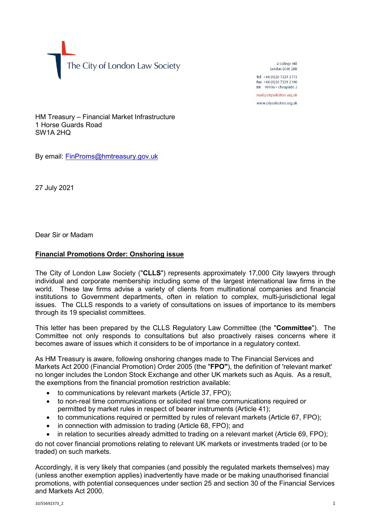The City of London Law Society

4 College Hill London FC4R 2RB

Tel +44 (0)20 7329 2173 Fax +44 (0)20 7329 2190 DX  $98936$  - Cheapside 2 mail@citysolicitors.org.uk

www.citysolicitors.org.uk

HM Treasury – Financial Market Infrastructure 1 Horse Guards Road SW1A 2HQ

By email: [FinProms@hmtreasury.gov.uk](mailto:FinProms@hmtreasury.gov.uk)

27 July 2021

Dear Sir or Madam

## **Financial Promotions Order: Onshoring issue**

The City of London Law Society ("**CLLS**") represents approximately 17,000 City lawyers through individual and corporate membership including some of the largest international law firms in the world. These law firms advise a variety of clients from multinational companies and financial institutions to Government departments, often in relation to complex, multi-jurisdictional legal issues. The CLLS responds to a variety of consultations on issues of importance to its members through its 19 specialist committees.

This letter has been prepared by the CLLS Regulatory Law Committee (the "**Committee**"). The Committee not only responds to consultations but also proactively raises concerns where it becomes aware of issues which it considers to be of importance in a regulatory context.

As HM Treasury is aware, following onshoring changes made to The Financial Services and Markets Act 2000 (Financial Promotion) Order 2005 (the "**FPO"**), the definition of 'relevant market' no longer includes the London Stock Exchange and other UK markets such as Aquis. As a result, the exemptions from the financial promotion restriction available:

- to communications by relevant markets (Article 37, FPO);
- to non-real time communications or solicited real time communications required or permitted by market rules in respect of bearer instruments (Article 41);
- to communications required or permitted by rules of relevant markets (Article 67, FPO);
- in connection with admission to trading (Article 68, FPO); and
- in relation to securities already admitted to trading on a relevant market (Article 69, FPO);

do not cover financial promotions relating to relevant UK markets or investments traded (or to be traded) on such markets.

Accordingly, it is very likely that companies (and possibly the regulated markets themselves) may (unless another exemption applies) inadvertently have made or be making unauthorised financial promotions, with potential consequences under section 25 and section 30 of the Financial Services and Markets Act 2000.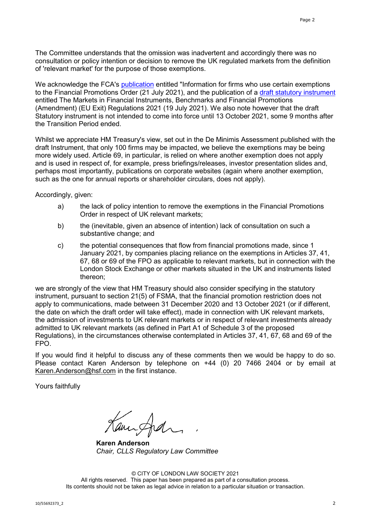The Committee understands that the omission was inadvertent and accordingly there was no consultation or policy intention or decision to remove the UK regulated markets from the definition of 'relevant market' for the purpose of those exemptions.

We acknowledge the FCA's [publication](https://www.fca.org.uk/news/statements/information-firms-certain-exemptions-financial-promotions-order) entitled "Information for firms who use certain exemptions to the Financial Promotions Order (21 July 2021), and the publication of a [draft statutory instrument](https://assets.publishing.service.gov.uk/media/60f57d458fa8f50c7eee0972/SI_-_Markets_in_Financial_Instruments__Benchmarks_.pdf) entitled The Markets in Financial Instruments, Benchmarks and Financial Promotions (Amendment) (EU Exit) Regulations 2021 (19 July 2021). We also note however that the draft Statutory instrument is not intended to come into force until 13 October 2021, some 9 months after the Transition Period ended.

Whilst we appreciate HM Treasury's view, set out in the De Minimis Assessment published with the draft Instrument, that only 100 firms may be impacted, we believe the exemptions may be being more widely used. Article 69, in particular, is relied on where another exemption does not apply and is used in respect of, for example, press briefings/releases, investor presentation slides and, perhaps most importantly, publications on corporate websites (again where another exemption, such as the one for annual reports or shareholder circulars, does not apply).

Accordingly, given:

- a) the lack of policy intention to remove the exemptions in the Financial Promotions Order in respect of UK relevant markets;
- b) the (inevitable, given an absence of intention) lack of consultation on such a substantive change; and
- c) the potential consequences that flow from financial promotions made, since 1 January 2021, by companies placing reliance on the exemptions in Articles 37, 41, 67, 68 or 69 of the FPO as applicable to relevant markets, but in connection with the London Stock Exchange or other markets situated in the UK and instruments listed thereon;

we are strongly of the view that HM Treasury should also consider specifying in the statutory instrument, pursuant to section 21(5) of FSMA, that the financial promotion restriction does not apply to communications, made between 31 December 2020 and 13 October 2021 (or if different, the date on which the draft order will take effect), made in connection with UK relevant markets, the admission of investments to UK relevant markets or in respect of relevant investments already admitted to UK relevant markets (as defined in Part A1 of Schedule 3 of the proposed Regulations), in the circumstances otherwise contemplated in Articles 37, 41, 67, 68 and 69 of the FPO.

If you would find it helpful to discuss any of these comments then we would be happy to do so. Please contact Karen Anderson by telephone on +44 (0) 20 7466 2404 or by email at [Karen.Anderson@hsf.com](mailto:Karen.Anderson@hsf.com) in the first instance.

Yours faithfully

Kanifra

**Karen Anderson** *Chair, CLLS Regulatory Law Committee*

© CITY OF LONDON LAW SOCIETY 2021 All rights reserved. This paper has been prepared as part of a consultation process. Its contents should not be taken as legal advice in relation to a particular situation or transaction.